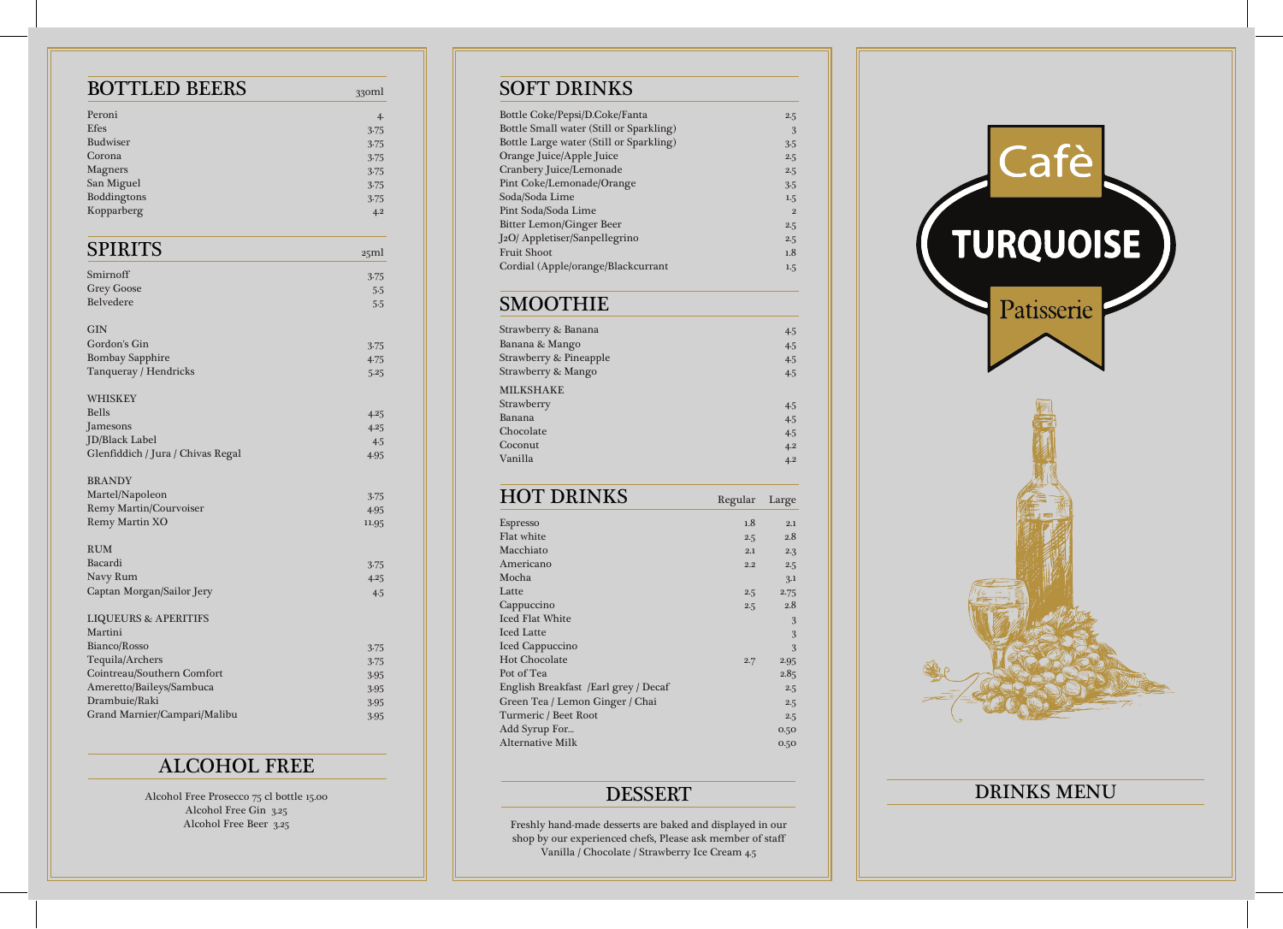## SOFT DRINKS

| Bottle Coke/Pepsi/D.Coke/Fanta          | 2.5          |
|-----------------------------------------|--------------|
| Bottle Small water (Still or Sparkling) | 3            |
| Bottle Large water (Still or Sparkling) | 3.5          |
| Orange Juice/Apple Juice                | 2.5          |
| Cranbery Juice/Lemonade                 | 2.5          |
| Pint Coke/Lemonade/Orange               | 3.5          |
| Soda/Soda Lime                          | 1.5          |
| Pint Soda/Soda Lime                     | $\mathbf{2}$ |
| <b>Bitter Lemon/Ginger Beer</b>         | 2.5          |
| J2O/ Appletiser/Sanpellegrino           | 2.5          |
| <b>Fruit Shoot</b>                      | 1.8          |
| Cordial (Apple/orange/Blackcurrant      | 1.5          |
|                                         |              |

### SMOOTHIE

| Strawberry & Banana               | 4.5 |
|-----------------------------------|-----|
| Banana & Mango                    | 4.5 |
| <b>Strawberry &amp; Pineapple</b> | 4.5 |
| Strawberry & Mango                | 4.5 |
| <b>MILKSHAKE</b>                  |     |
| Strawberry                        | 4.5 |
| Banana                            | 4.5 |
| Chocolate                         | 4.5 |
| Coconut                           | 4.2 |
| Vanilla                           | 4.2 |
|                                   |     |

HOT DRINKS Regular Large Espresso and the contract of the contract of the contract of the contract of the contract of the contract of the contract of the contract of the contract of the contract of the contract of the contract of the contract of t Flat white  $2.5$   $2.8$ Macchiato 2.1 2.3 Americano 2.2 2.5<br>Mocha 3.1 Mocha 3.1 Latte  $2.5$  2.75 Cappuccino 2.5 2.8  $\sim$  1  $\sim$  1  $\sim$  1  $\sim$  3  $\sim$  3  $\sim$  3  $\sim$  3  $\sim$  3  $\sim$ **Iced Latte** 3 and 3 and 3 and 3 and 3 and 3 and 3 and 3 and 3 and 3 and 3 and 3 and 3 and 3 and 3 and 3 and 3 and 3 and 3 and 3 and 3 and 3 and 3 and 3 and 3 and 3 and 3 and 3 and 3 and 3 and 3 and 3 and 3 and 3 and 3 and Iced Cappuccino 3 Hot Chocolate 2.7 2.95 Pot of Tea  $2.85$ English Breakfast /Earl grey / Decaf 2.5 Green Tea / Lemon Ginger / Chai 2.5 Turmeric / Beet Root 2.5 Add Syrup For... **Add Syrup Former Community** Constant Community Community Community Community Community Community  $\begin{tabular}{c} Alternative Milk \end{tabular} \begin{tabular}{c} \multicolumn{2}{c}{{\textbf{A}re} \hline \hline \multicolumn{2}{c}{{\textbf{A}}} \hline \multicolumn{2}{c}{{\textbf{A}}} \hline \multicolumn{2}{c}{{\textbf{A}}} \hline \multicolumn{2}{c}{{\textbf{A}}} \hline \multicolumn{2}{c}{{\textbf{A}}} \hline \multicolumn{2}{c}{{\textbf{A}}} \hline \multicolumn{2}{c}{{\textbf{A}}} \hline \multicolumn{2}{c}{{\textbf{A}}} \hline \multicolumn{2}{c}{{\textbf{A}}} \hline \$ 

### DESSERT

Freshly hand-made desserts are baked and displayed in our shop by our experienced chefs, Please ask member of staff Vanilla / Chocolate / Strawberry Ice Cream 4.5



# DRINKS MENU

| <b>BOTTLED BEERS</b>              | 330ml |
|-----------------------------------|-------|
| Peroni                            | 4.    |
| <b>Efes</b>                       | 3.75  |
| <b>Budwiser</b>                   | 3.75  |
| Corona                            | 3.75  |
| <b>Magners</b>                    | 3.75  |
| San Miguel                        | 3.75  |
| Boddingtons                       | 3.75  |
| Kopparberg                        | 4.2   |
| <b>SPIRITS</b>                    | 25ml  |
| Smirnoff                          | 3.75  |
| <b>Grey Goose</b>                 | 5.5   |
| <b>Belvedere</b>                  | 5.5   |
| <b>GIN</b>                        |       |
| Gordon's Gin                      | 3.75  |
| <b>Bombay Sapphire</b>            | 4.75  |
| Tanqueray / Hendricks             | 5.25  |
| <b>WHISKEY</b>                    |       |
| <b>Bells</b>                      | 4.25  |
| Jamesons                          | 4.25  |
| JD/Black Label                    | 4.5   |
| Glenfiddich / Jura / Chivas Regal | 4.95  |
| <b>BRANDY</b>                     |       |
| Martel/Napoleon                   | 3.75  |
| <b>Remy Martin/Courvoiser</b>     | 4.95  |
| Remy Martin XO                    | 11.95 |
| <b>RUM</b>                        |       |
| Bacardi                           | 3.75  |
| Navy Rum                          | 4.25  |
| Captan Morgan/Sailor Jery         | 4.5   |
| <b>LIQUEURS &amp; APERITIFS</b>   |       |
| Martini                           |       |
| Bianco/Rosso                      | 3.75  |
| Tequila/Archers                   | 3.75  |
| Cointreau/Southern Comfort        | 3.95  |
| Ameretto/Baileys/Sambuca          | 3.95  |
| Drambuie/Raki                     | 3.95  |
| Grand Marnier/Campari/Malibu      | 3.95  |

# ALCOHOL FREE

Alcohol Free Prosecco 75 cl bottle 15.00 Alcohol Free Gin 3.25 Alcohol Free Beer 3.25